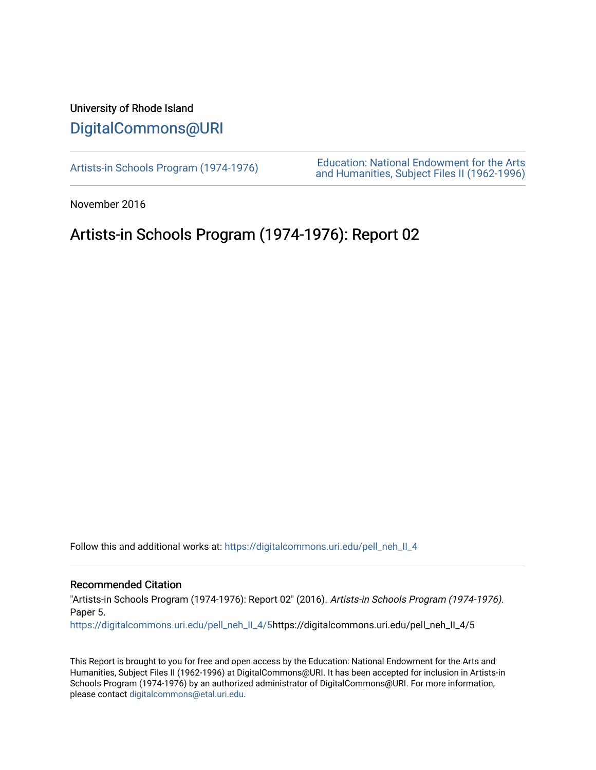## University of Rhode Island [DigitalCommons@URI](https://digitalcommons.uri.edu/)

[Artists-in Schools Program \(1974-1976\)](https://digitalcommons.uri.edu/pell_neh_II_4) [Education: National Endowment for the Arts](https://digitalcommons.uri.edu/pell_neh_II)  [and Humanities, Subject Files II \(1962-1996\)](https://digitalcommons.uri.edu/pell_neh_II) 

November 2016

## Artists-in Schools Program (1974-1976): Report 02

Follow this and additional works at: [https://digitalcommons.uri.edu/pell\\_neh\\_II\\_4](https://digitalcommons.uri.edu/pell_neh_II_4?utm_source=digitalcommons.uri.edu%2Fpell_neh_II_4%2F5&utm_medium=PDF&utm_campaign=PDFCoverPages) 

## Recommended Citation

"Artists-in Schools Program (1974-1976): Report 02" (2016). Artists-in Schools Program (1974-1976). Paper 5.

[https://digitalcommons.uri.edu/pell\\_neh\\_II\\_4/5](https://digitalcommons.uri.edu/pell_neh_II_4/5?utm_source=digitalcommons.uri.edu%2Fpell_neh_II_4%2F5&utm_medium=PDF&utm_campaign=PDFCoverPages)https://digitalcommons.uri.edu/pell\_neh\_II\_4/5

This Report is brought to you for free and open access by the Education: National Endowment for the Arts and Humanities, Subject Files II (1962-1996) at DigitalCommons@URI. It has been accepted for inclusion in Artists-in Schools Program (1974-1976) by an authorized administrator of DigitalCommons@URI. For more information, please contact [digitalcommons@etal.uri.edu.](mailto:digitalcommons@etal.uri.edu)